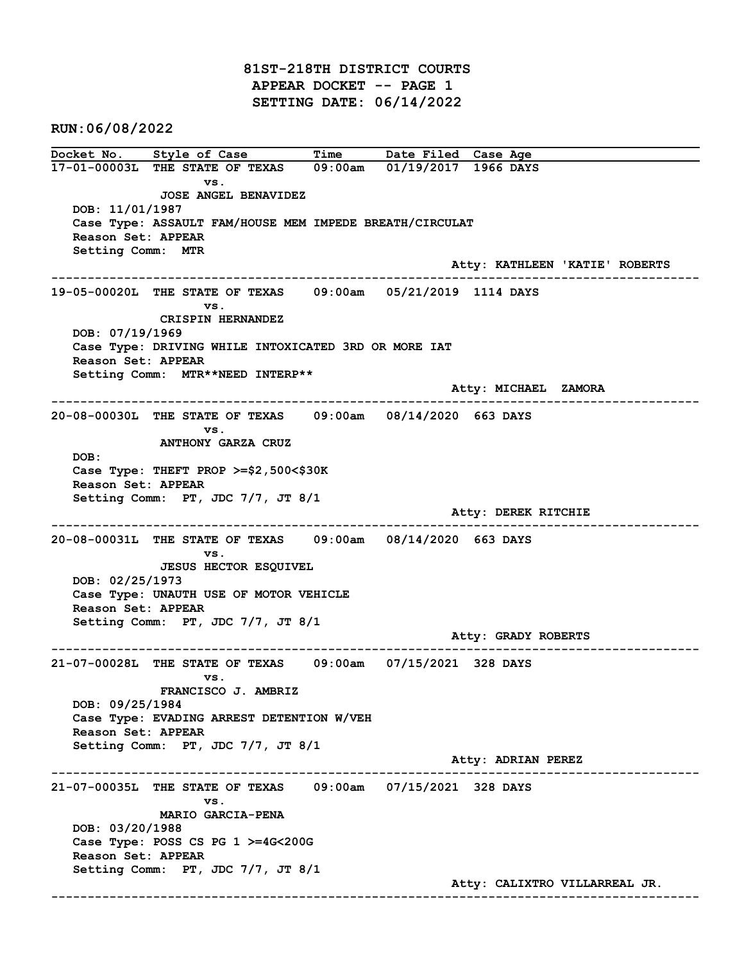81ST-218TH DISTRICT COURTS APPEAR DOCKET -- PAGE 1 SETTING DATE: 06/14/2022

RUN:06/08/2022

Docket No. Style of Case Time Date Filed Case Age 17-01-00003L THE STATE OF TEXAS 09:00am 01/19/2017 1966 DAYS vs. JOSE ANGEL BENAVIDEZ DOB: 11/01/1987 Case Type: ASSAULT FAM/HOUSE MEM IMPEDE BREATH/CIRCULAT Reason Set: APPEAR Setting Comm: MTR Atty: KATHLEEN 'KATIE' ROBERTS ------------------------------------------------------------------------------------------------------------------------ 19-05-00020L THE STATE OF TEXAS 09:00am 05/21/2019 1114 DAYS vs. CRISPIN HERNANDEZ DOB: 07/19/1969 Case Type: DRIVING WHILE INTOXICATED 3RD OR MORE IAT Reason Set: APPEAR Setting Comm: MTR\*\*NEED INTERP\*\* Atty: MICHAEL ZAMORA ------------------------------------------------------------------------------------------------------------------------ 20-08-00030L THE STATE OF TEXAS 09:00am 08/14/2020 663 DAYS vs. ANTHONY GARZA CRUZ DOB: Case Type: THEFT PROP >=\$2,500<\$30K Reason Set: APPEAR Setting Comm: PT, JDC 7/7, JT 8/1 Atty: DEREK RITCHIE ------------------------------------------------------------------------------------------------------------------------ 20-08-00031L THE STATE OF TEXAS 09:00am 08/14/2020 663 DAYS vs. JESUS HECTOR ESQUIVEL DOB: 02/25/1973 Case Type: UNAUTH USE OF MOTOR VEHICLE Reason Set: APPEAR Setting Comm: PT, JDC 7/7, JT 8/1 Atty: GRADY ROBERTS ------------------------------------------------------------------------------------------------------------------------ 21-07-00028L THE STATE OF TEXAS 09:00am 07/15/2021 328 DAYS vs. FRANCISCO J. AMBRIZ DOB: 09/25/1984 Case Type: EVADING ARREST DETENTION W/VEH Reason Set: APPEAR Setting Comm: PT, JDC 7/7, JT 8/1 Atty: ADRIAN PEREZ ------------------------------------------------------------------------------------------------------------------------ 21-07-00035L THE STATE OF TEXAS 09:00am 07/15/2021 328 DAYS vs. MARIO GARCIA-PENA DOB: 03/20/1988 Case Type: POSS CS PG 1 >=4G<200G Reason Set: APPEAR Setting Comm: PT, JDC 7/7, JT 8/1 Atty: CALIXTRO VILLARREAL JR. ------------------------------------------------------------------------------------------------------------------------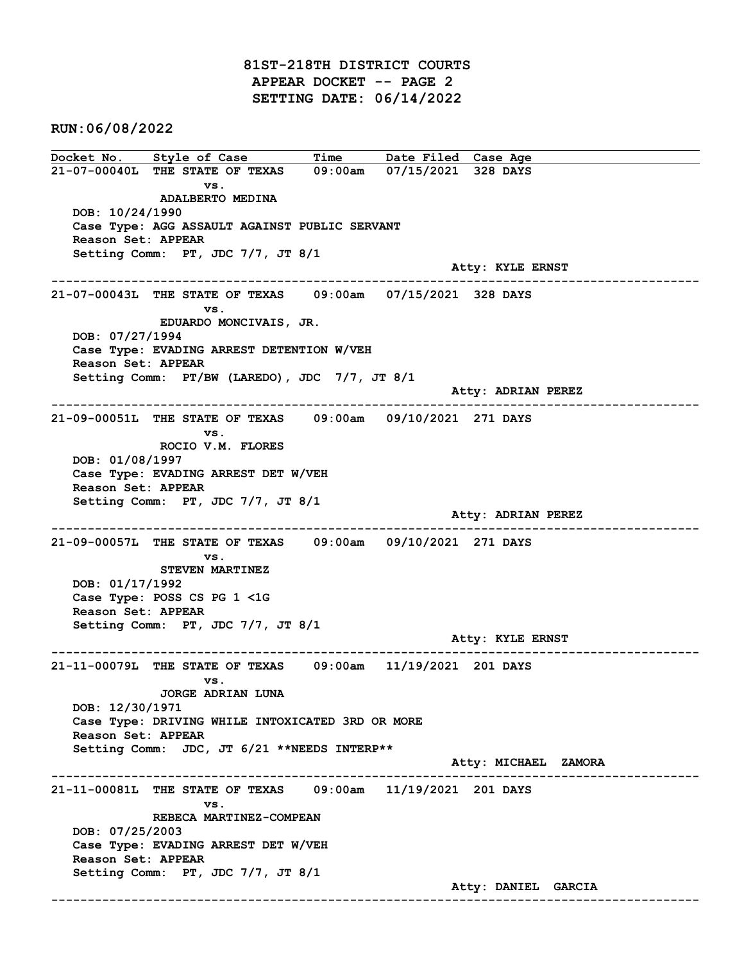81ST-218TH DISTRICT COURTS APPEAR DOCKET -- PAGE 2 SETTING DATE: 06/14/2022

RUN:06/08/2022

Docket No. Style of Case Time Date Filed Case Age 21-07-00040L THE STATE OF TEXAS 09:00am 07/15/2021 328 DAYS vs. ADALBERTO MEDINA DOB: 10/24/1990 Case Type: AGG ASSAULT AGAINST PUBLIC SERVANT Reason Set: APPEAR Setting Comm: PT, JDC 7/7, JT 8/1 Atty: KYLE ERNST ------------------------------------------------------------------------------------------------------------------------ 21-07-00043L THE STATE OF TEXAS 09:00am 07/15/2021 328 DAYS vs. EDUARDO MONCIVAIS, JR. DOB: 07/27/1994 Case Type: EVADING ARREST DETENTION W/VEH Reason Set: APPEAR Setting Comm: PT/BW (LAREDO), JDC 7/7, JT 8/1 Atty: ADRIAN PEREZ ------------------------------------------------------------------------------------------------------------------------ 21-09-00051L THE STATE OF TEXAS 09:00am 09/10/2021 271 DAYS vs. ROCIO V.M. FLORES DOB: 01/08/1997 Case Type: EVADING ARREST DET W/VEH Reason Set: APPEAR Setting Comm: PT, JDC 7/7, JT 8/1 Atty: ADRIAN PEREZ ------------------------------------------------------------------------------------------------------------------------ 21-09-00057L THE STATE OF TEXAS 09:00am 09/10/2021 271 DAYS vs. STEVEN MARTINEZ DOB: 01/17/1992 Case Type: POSS CS PG 1 <1G Reason Set: APPEAR Setting Comm: PT, JDC 7/7, JT 8/1 Atty: KYLE ERNST ------------------------------------------------------------------------------------------------------------------------ 21-11-00079L THE STATE OF TEXAS 09:00am 11/19/2021 201 DAYS vs. JORGE ADRIAN LUNA DOB: 12/30/1971 Case Type: DRIVING WHILE INTOXICATED 3RD OR MORE Reason Set: APPEAR Setting Comm: JDC, JT 6/21 \*\*NEEDS INTERP\*\* Atty: MICHAEL ZAMORA ------------------------------------------------------------------------------------------------------------------------ 21-11-00081L THE STATE OF TEXAS 09:00am 11/19/2021 201 DAYS vs. REBECA MARTINEZ-COMPEAN DOB: 07/25/2003 Case Type: EVADING ARREST DET W/VEH Reason Set: APPEAR Setting Comm: PT, JDC 7/7, JT 8/1 Atty: DANIEL GARCIA ------------------------------------------------------------------------------------------------------------------------